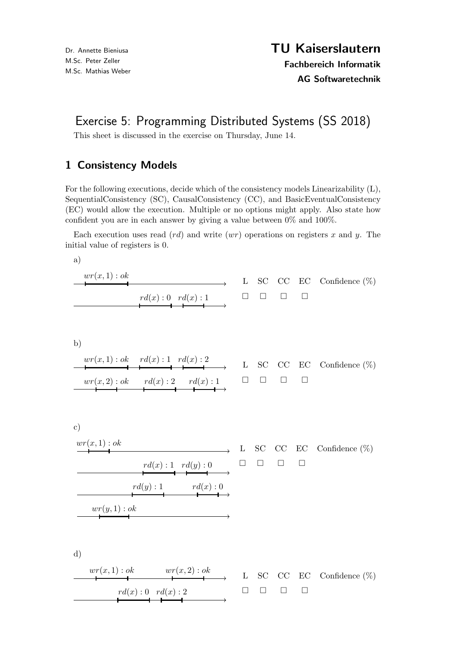## Exercise 5: Programming Distributed Systems (SS 2018)

This sheet is discussed in the exercise on Thursday, June 14.

## 1 Consistency Models

For the following executions, decide which of the consistency models Linearizability (L), SequentialConsistency (SC), CausalConsistency (CC), and BasicEventualConsistency (EC) would allow the execution. Multiple or no options might apply. Also state how confident you are in each answer by giving a value between 0% and 100%.

Each execution uses read  $\left( rd\right)$  and write  $\left( wr\right)$  operations on registers x and y. The initial value of registers is 0.

a)

| wr(x,1): ok |                     |  |  | L SC CC EC Confidence $(\%)$ |
|-------------|---------------------|--|--|------------------------------|
|             | $rd(x):0$ $rd(x):1$ |  |  |                              |

b)

wr(x, 1) : ok rd(x) : 1 rd(x) : 2 wr(x, 2) : ok rd(x) : 2 rd(x) : 1 L SC CC EC Confidence (%) 

c)

$$
\begin{array}{c}\n\text{wr}(x,1): ok \\
\hline\n\end{array}\n\qquad \qquad \begin{array}{c}\n\text{L} \quad \text{SC} \quad \text{CC} \quad \text{EC} \quad \text{Confidence } (\%) \\
\hline\n\end{array}
$$
\n
$$
\begin{array}{c}\n\text{rd}(x): 1 \quad \text{rd}(y): 0 \\
\hline\n\end{array}\n\qquad\n\begin{array}{c}\n\Box \quad \Box \quad \Box \quad \Box \\
\hline\n\end{array}
$$
\n
$$
\begin{array}{c}\n\text{rd}(y): 1 \quad \text{rd}(x): 0 \\
\hline\n\end{array}
$$

d)

wr(x, 1) : ok wr(x, 2) : ok L SC CC EC Confidence (%) rd(x) : 0 rd(x) : 2